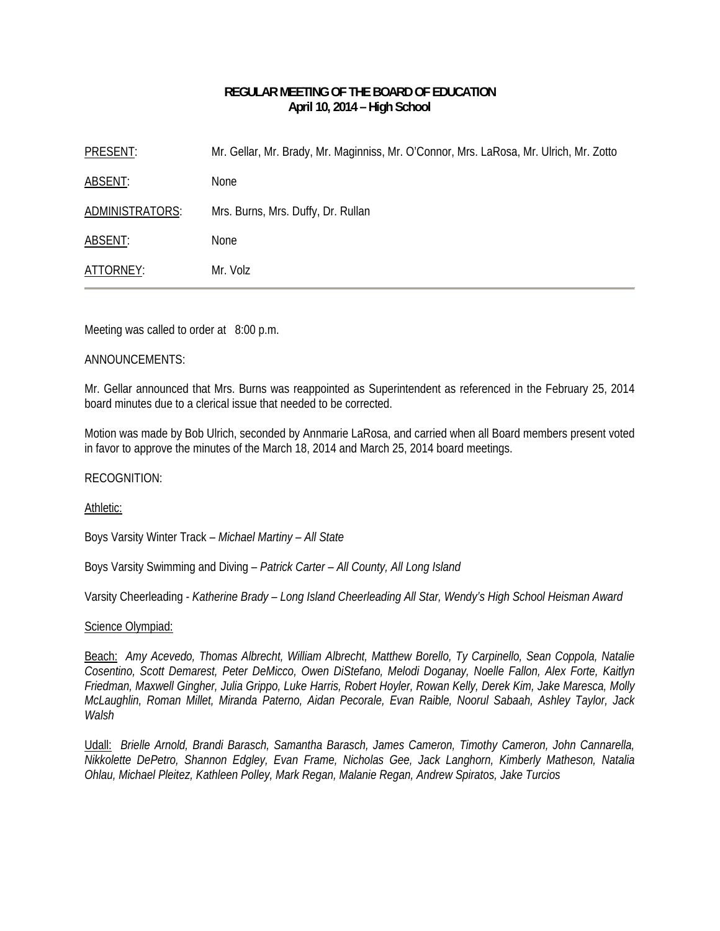# **REGULAR MEETING OF THE BOARD OF EDUCATION April 10, 2014 – High School**

PRESENT: Mr. Gellar, Mr. Brady, Mr. Maginniss, Mr. O'Connor, Mrs. LaRosa, Mr. Ulrich, Mr. Zotto ABSENT: None ADMINISTRATORS: Mrs. Burns, Mrs. Duffy, Dr. Rullan ABSENT: None ATTORNEY: Mr. Volz

Meeting was called to order at 8:00 p.m.

# ANNOUNCEMENTS:

Mr. Gellar announced that Mrs. Burns was reappointed as Superintendent as referenced in the February 25, 2014 board minutes due to a clerical issue that needed to be corrected.

Motion was made by Bob Ulrich, seconded by Annmarie LaRosa, and carried when all Board members present voted in favor to approve the minutes of the March 18, 2014 and March 25, 2014 board meetings.

# RECOGNITION:

# Athletic:

Boys Varsity Winter Track – *Michael Martiny – All State* 

Boys Varsity Swimming and Diving – *Patrick Carter – All County, All Long Island* 

Varsity Cheerleading - *Katherine Brady – Long Island Cheerleading All Star, Wendy's High School Heisman Award* 

# Science Olympiad:

Beach: *Amy Acevedo, Thomas Albrecht, William Albrecht, Matthew Borello, Ty Carpinello, Sean Coppola, Natalie Cosentino, Scott Demarest, Peter DeMicco, Owen DiStefano, Melodi Doganay, Noelle Fallon, Alex Forte, Kaitlyn Friedman, Maxwell Gingher, Julia Grippo, Luke Harris, Robert Hoyler, Rowan Kelly, Derek Kim, Jake Maresca, Molly McLaughlin, Roman Millet, Miranda Paterno, Aidan Pecorale, Evan Raible, Noorul Sabaah, Ashley Taylor, Jack Walsh* 

Udall: *Brielle Arnold, Brandi Barasch, Samantha Barasch, James Cameron, Timothy Cameron, John Cannarella, Nikkolette DePetro, Shannon Edgley, Evan Frame, Nicholas Gee, Jack Langhorn, Kimberly Matheson, Natalia Ohlau, Michael Pleitez, Kathleen Polley, Mark Regan, Malanie Regan, Andrew Spiratos, Jake Turcios*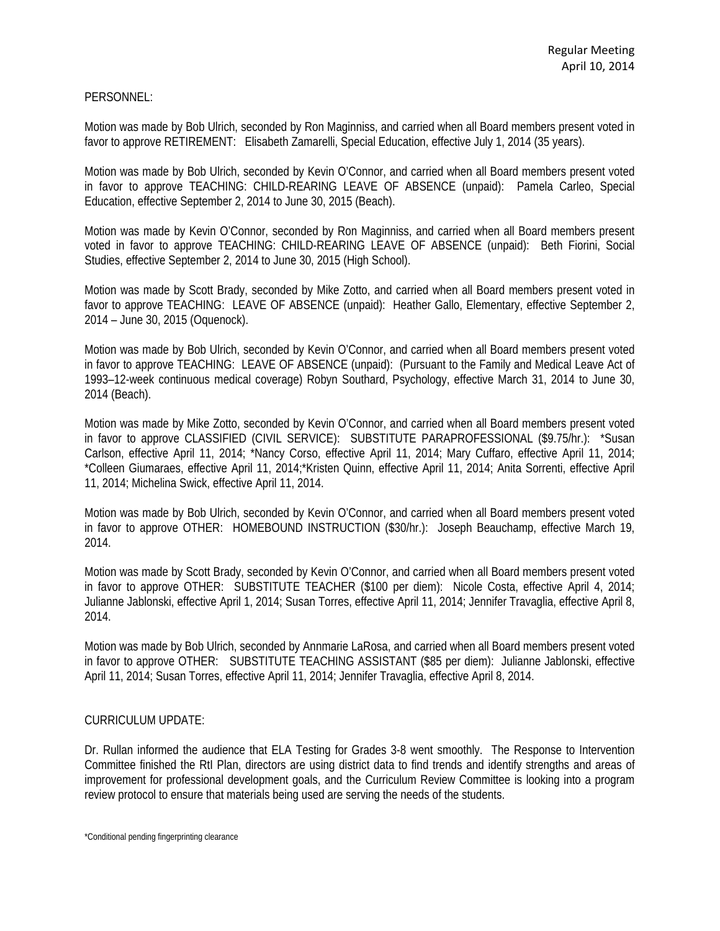### PERSONNEL:

Motion was made by Bob Ulrich, seconded by Ron Maginniss, and carried when all Board members present voted in favor to approve RETIREMENT: Elisabeth Zamarelli, Special Education, effective July 1, 2014 (35 years).

Motion was made by Bob Ulrich, seconded by Kevin O'Connor, and carried when all Board members present voted in favor to approve TEACHING: CHILD-REARING LEAVE OF ABSENCE (unpaid): Pamela Carleo, Special Education, effective September 2, 2014 to June 30, 2015 (Beach).

Motion was made by Kevin O'Connor, seconded by Ron Maginniss, and carried when all Board members present voted in favor to approve TEACHING: CHILD-REARING LEAVE OF ABSENCE (unpaid): Beth Fiorini, Social Studies, effective September 2, 2014 to June 30, 2015 (High School).

Motion was made by Scott Brady, seconded by Mike Zotto, and carried when all Board members present voted in favor to approve TEACHING: LEAVE OF ABSENCE (unpaid): Heather Gallo, Elementary, effective September 2, 2014 – June 30, 2015 (Oquenock).

Motion was made by Bob Ulrich, seconded by Kevin O'Connor, and carried when all Board members present voted in favor to approve TEACHING: LEAVE OF ABSENCE (unpaid): (Pursuant to the Family and Medical Leave Act of 1993–12-week continuous medical coverage) Robyn Southard, Psychology, effective March 31, 2014 to June 30, 2014 (Beach).

Motion was made by Mike Zotto, seconded by Kevin O'Connor, and carried when all Board members present voted in favor to approve CLASSIFIED (CIVIL SERVICE): SUBSTITUTE PARAPROFESSIONAL (\$9.75/hr.): \*Susan Carlson, effective April 11, 2014; \*Nancy Corso, effective April 11, 2014; Mary Cuffaro, effective April 11, 2014; \*Colleen Giumaraes, effective April 11, 2014;\*Kristen Quinn, effective April 11, 2014; Anita Sorrenti, effective April 11, 2014; Michelina Swick, effective April 11, 2014.

Motion was made by Bob Ulrich, seconded by Kevin O'Connor, and carried when all Board members present voted in favor to approve OTHER: HOMEBOUND INSTRUCTION (\$30/hr.): Joseph Beauchamp, effective March 19, 2014.

Motion was made by Scott Brady, seconded by Kevin O'Connor, and carried when all Board members present voted in favor to approve OTHER: SUBSTITUTE TEACHER (\$100 per diem): Nicole Costa, effective April 4, 2014; Julianne Jablonski, effective April 1, 2014; Susan Torres, effective April 11, 2014; Jennifer Travaglia, effective April 8, 2014.

Motion was made by Bob Ulrich, seconded by Annmarie LaRosa, and carried when all Board members present voted in favor to approve OTHER: SUBSTITUTE TEACHING ASSISTANT (\$85 per diem): Julianne Jablonski, effective April 11, 2014; Susan Torres, effective April 11, 2014; Jennifer Travaglia, effective April 8, 2014.

#### CURRICULUM UPDATE:

Dr. Rullan informed the audience that ELA Testing for Grades 3-8 went smoothly. The Response to Intervention Committee finished the RtI Plan, directors are using district data to find trends and identify strengths and areas of improvement for professional development goals, and the Curriculum Review Committee is looking into a program review protocol to ensure that materials being used are serving the needs of the students.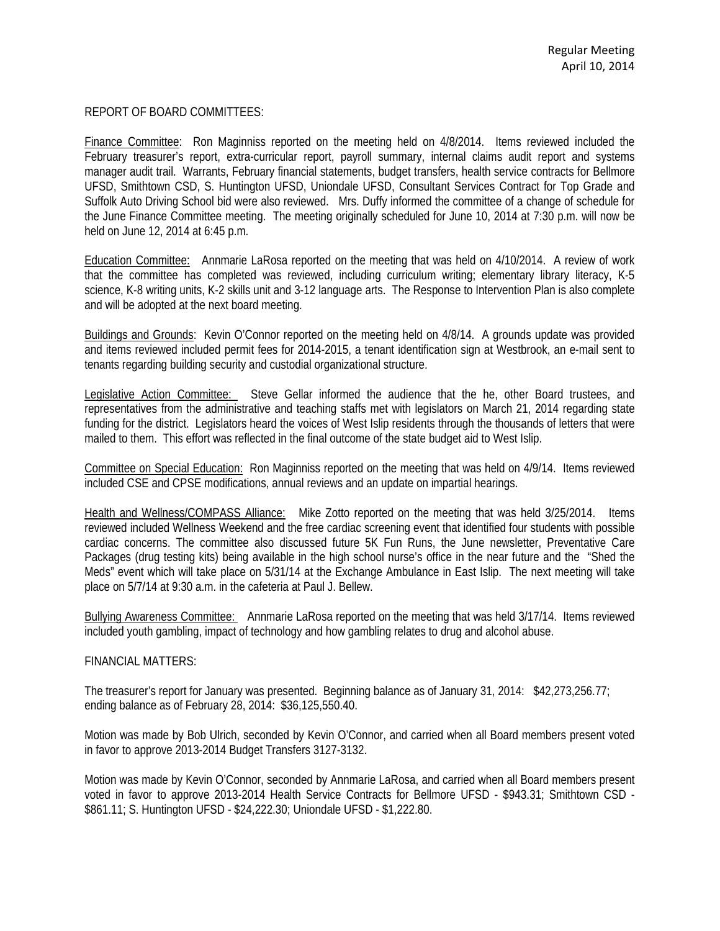### REPORT OF BOARD COMMITTEES:

Finance Committee: Ron Maginniss reported on the meeting held on 4/8/2014. Items reviewed included the February treasurer's report, extra-curricular report, payroll summary, internal claims audit report and systems manager audit trail. Warrants, February financial statements, budget transfers, health service contracts for Bellmore UFSD, Smithtown CSD, S. Huntington UFSD, Uniondale UFSD, Consultant Services Contract for Top Grade and Suffolk Auto Driving School bid were also reviewed. Mrs. Duffy informed the committee of a change of schedule for the June Finance Committee meeting. The meeting originally scheduled for June 10, 2014 at 7:30 p.m. will now be held on June 12, 2014 at 6:45 p.m.

Education Committee: Annmarie LaRosa reported on the meeting that was held on 4/10/2014. A review of work that the committee has completed was reviewed, including curriculum writing; elementary library literacy, K-5 science, K-8 writing units, K-2 skills unit and 3-12 language arts. The Response to Intervention Plan is also complete and will be adopted at the next board meeting.

Buildings and Grounds: Kevin O'Connor reported on the meeting held on 4/8/14. A grounds update was provided and items reviewed included permit fees for 2014-2015, a tenant identification sign at Westbrook, an e-mail sent to tenants regarding building security and custodial organizational structure.

Legislative Action Committee: Steve Gellar informed the audience that the he, other Board trustees, and representatives from the administrative and teaching staffs met with legislators on March 21, 2014 regarding state funding for the district. Legislators heard the voices of West Islip residents through the thousands of letters that were mailed to them. This effort was reflected in the final outcome of the state budget aid to West Islip.

Committee on Special Education: Ron Maginniss reported on the meeting that was held on 4/9/14. Items reviewed included CSE and CPSE modifications, annual reviews and an update on impartial hearings.

Health and Wellness/COMPASS Alliance: Mike Zotto reported on the meeting that was held 3/25/2014. Items reviewed included Wellness Weekend and the free cardiac screening event that identified four students with possible cardiac concerns. The committee also discussed future 5K Fun Runs, the June newsletter, Preventative Care Packages (drug testing kits) being available in the high school nurse's office in the near future and the "Shed the Meds" event which will take place on 5/31/14 at the Exchange Ambulance in East Islip. The next meeting will take place on 5/7/14 at 9:30 a.m. in the cafeteria at Paul J. Bellew.

Bullying Awareness Committee: Annmarie LaRosa reported on the meeting that was held 3/17/14. Items reviewed included youth gambling, impact of technology and how gambling relates to drug and alcohol abuse.

#### FINANCIAL MATTERS:

The treasurer's report for January was presented. Beginning balance as of January 31, 2014: \$42,273,256.77; ending balance as of February 28, 2014: \$36,125,550.40.

Motion was made by Bob Ulrich, seconded by Kevin O'Connor, and carried when all Board members present voted in favor to approve 2013-2014 Budget Transfers 3127-3132.

Motion was made by Kevin O'Connor, seconded by Annmarie LaRosa, and carried when all Board members present voted in favor to approve 2013-2014 Health Service Contracts for Bellmore UFSD - \$943.31; Smithtown CSD - \$861.11; S. Huntington UFSD - \$24,222.30; Uniondale UFSD - \$1,222.80.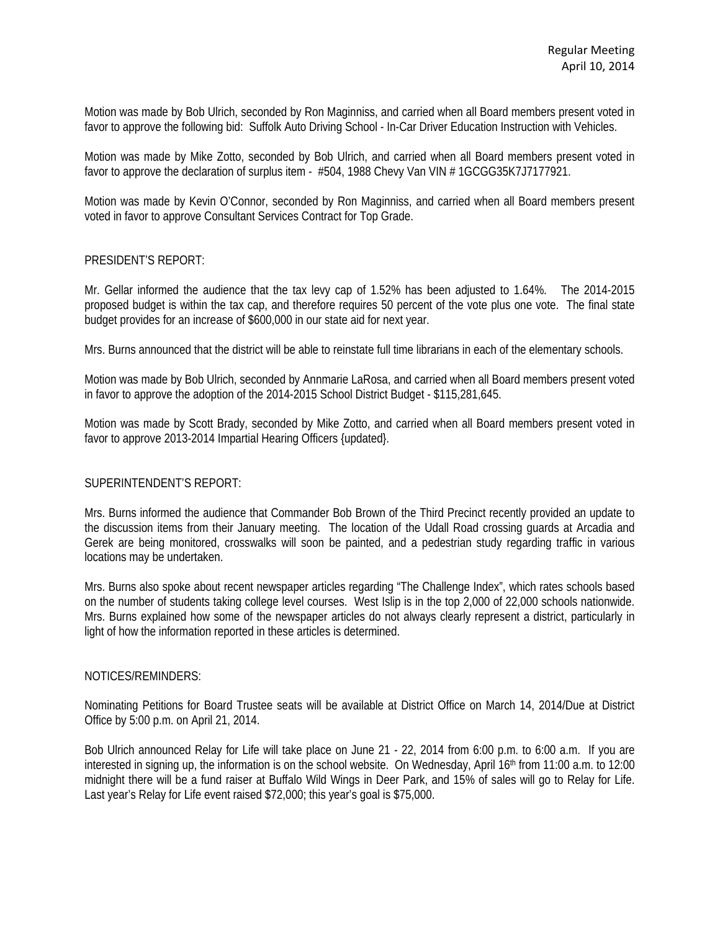Motion was made by Bob Ulrich, seconded by Ron Maginniss, and carried when all Board members present voted in favor to approve the following bid: Suffolk Auto Driving School - In-Car Driver Education Instruction with Vehicles.

Motion was made by Mike Zotto, seconded by Bob Ulrich, and carried when all Board members present voted in favor to approve the declaration of surplus item - #504, 1988 Chevy Van VIN # 1GCGG35K7J7177921.

Motion was made by Kevin O'Connor, seconded by Ron Maginniss, and carried when all Board members present voted in favor to approve Consultant Services Contract for Top Grade.

### PRESIDENT'S REPORT:

Mr. Gellar informed the audience that the tax levy cap of 1.52% has been adjusted to 1.64%. The 2014-2015 proposed budget is within the tax cap, and therefore requires 50 percent of the vote plus one vote. The final state budget provides for an increase of \$600,000 in our state aid for next year.

Mrs. Burns announced that the district will be able to reinstate full time librarians in each of the elementary schools.

Motion was made by Bob Ulrich, seconded by Annmarie LaRosa, and carried when all Board members present voted in favor to approve the adoption of the 2014-2015 School District Budget - \$115,281,645.

Motion was made by Scott Brady, seconded by Mike Zotto, and carried when all Board members present voted in favor to approve 2013-2014 Impartial Hearing Officers {updated}.

# SUPERINTENDENT'S REPORT:

Mrs. Burns informed the audience that Commander Bob Brown of the Third Precinct recently provided an update to the discussion items from their January meeting. The location of the Udall Road crossing guards at Arcadia and Gerek are being monitored, crosswalks will soon be painted, and a pedestrian study regarding traffic in various locations may be undertaken.

Mrs. Burns also spoke about recent newspaper articles regarding "The Challenge Index", which rates schools based on the number of students taking college level courses. West Islip is in the top 2,000 of 22,000 schools nationwide. Mrs. Burns explained how some of the newspaper articles do not always clearly represent a district, particularly in light of how the information reported in these articles is determined.

#### NOTICES/REMINDERS:

Nominating Petitions for Board Trustee seats will be available at District Office on March 14, 2014/Due at District Office by 5:00 p.m. on April 21, 2014.

Bob Ulrich announced Relay for Life will take place on June 21 - 22, 2014 from 6:00 p.m. to 6:00 a.m. If you are interested in signing up, the information is on the school website. On Wednesday, April 16<sup>th</sup> from 11:00 a.m. to 12:00 midnight there will be a fund raiser at Buffalo Wild Wings in Deer Park, and 15% of sales will go to Relay for Life. Last year's Relay for Life event raised \$72,000; this year's goal is \$75,000.